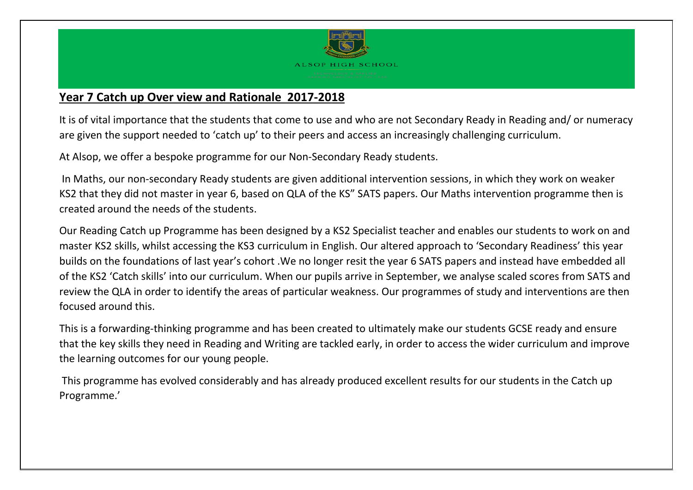

# **Year 7 Catch up Over view and Rationale 2017-2018**

It is of vital importance that the students that come to use and who are not Secondary Ready in Reading and/ or numeracy are given the support needed to 'catch up' to their peers and access an increasingly challenging curriculum.

At Alsop, we offer a bespoke programme for our Non-Secondary Ready students.

In Maths, our non-secondary Ready students are given additional intervention sessions, in which they work on weaker KS2 that they did not master in year 6, based on QLA of the KS" SATS papers. Our Maths intervention programme then is created around the needs of the students.

Our Reading Catch up Programme has been designed by a KS2 Specialist teacher and enables our students to work on and master KS2 skills, whilst accessing the KS3 curriculum in English. Our altered approach to 'Secondary Readiness' this year builds on the foundations of last year's cohort .We no longer resit the year 6 SATS papers and instead have embedded all of the KS2 'Catch skills' into our curriculum. When our pupils arrive in September, we analyse scaled scores from SATS and review the QLA in order to identify the areas of particular weakness. Our programmes of study and interventions are then focused around this.

This is a forwarding-thinking programme and has been created to ultimately make our students GCSE ready and ensure that the key skills they need in Reading and Writing are tackled early, in order to access the wider curriculum and improve the learning outcomes for our young people.

This programme has evolved considerably and has already produced excellent results for our students in the Catch up Programme.'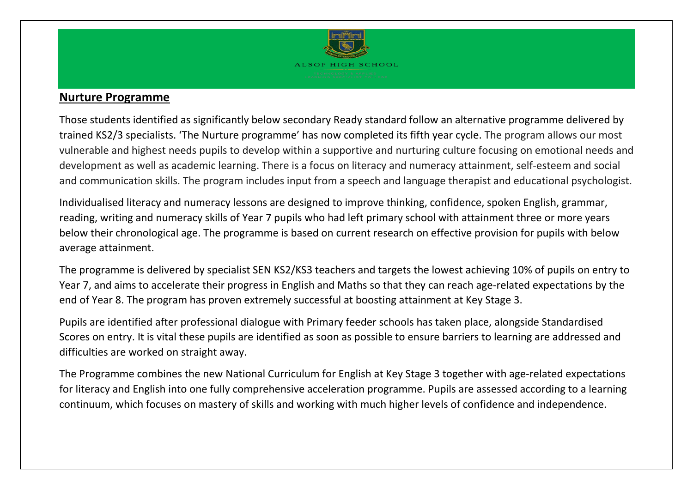

## **Nurture Programme**

Those students identified as significantly below secondary Ready standard follow an alternative programme delivered by trained KS2/3 specialists. 'The Nurture programme' has now completed its fifth year cycle. The program allows our most vulnerable and highest needs pupils to develop within a supportive and nurturing culture focusing on emotional needs and development as well as academic learning. There is a focus on literacy and numeracy attainment, self-esteem and social and communication skills. The program includes input from a speech and language therapist and educational psychologist.

Individualised literacy and numeracy lessons are designed to improve thinking, confidence, spoken English, grammar, reading, writing and numeracy skills of Year 7 pupils who had left primary school with attainment three or more years below their chronological age. The programme is based on current research on effective provision for pupils with below average attainment.

The programme is delivered by specialist SEN KS2/KS3 teachers and targets the lowest achieving 10% of pupils on entry to Year 7, and aims to accelerate their progress in English and Maths so that they can reach age-related expectations by the end of Year 8. The program has proven extremely successful at boosting attainment at Key Stage 3.

Pupils are identified after professional dialogue with Primary feeder schools has taken place, alongside Standardised Scores on entry. It is vital these pupils are identified as soon as possible to ensure barriers to learning are addressed and difficulties are worked on straight away.

The Programme combines the new National Curriculum for English at Key Stage 3 together with age-related expectations for literacy and English into one fully comprehensive acceleration programme. Pupils are assessed according to a learning continuum, which focuses on mastery of skills and working with much higher levels of confidence and independence.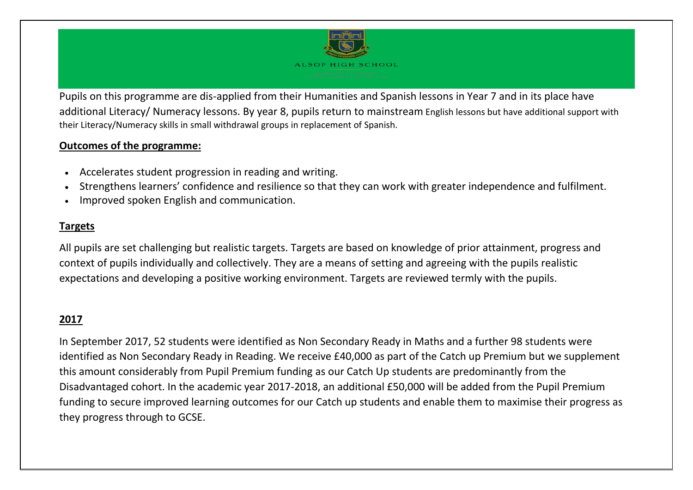

Pupils on this programme are dis-applied from their Humanities and Spanish lessons in Year 7 and in its place have additional Literacy/ Numeracy lessons. By year 8, pupils return to mainstream English lessons but have additional support with their Literacy/Numeracy skills in small withdrawal groups in replacement of Spanish.

### **Outcomes of the programme:**

- Accelerates student progression in reading and writing.
- Strengthens learners' confidence and resilience so that they can work with greater independence and fulfilment.
- Improved spoken English and communication.

#### **Targets**

All pupils are set challenging but realistic targets. Targets are based on knowledge of prior attainment, progress and context of pupils individually and collectively. They are a means of setting and agreeing with the pupils realistic expectations and developing a positive working environment. Targets are reviewed termly with the pupils.

## **2017**

In September 2017, 52 students were identified as Non Secondary Ready in Maths and a further 98 students were identified as Non Secondary Ready in Reading. We receive £40,000 as part of the Catch up Premium but we supplement this amount considerably from Pupil Premium funding as our Catch Up students are predominantly from the Disadvantaged cohort. In the academic year 2017-2018, an additional £50,000 will be added from the Pupil Premium funding to secure improved learning outcomes for our Catch up students and enable them to maximise their progress as they progress through to GCSE.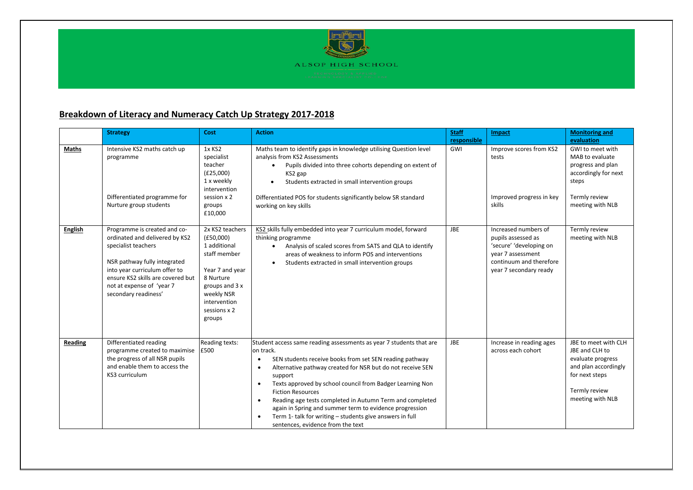

#### **Breakdown of Literacy and Numeracy Catch Up Strategy 2017-2018**

|                | <b>Strategy</b>                                                                                                                                                                                                                                  | Cost                                                                                                                                                                   | <b>Action</b>                                                                                                                                                                                                                                                                                                                                                                                                                                                                                                                                                                                          | <b>Staff</b>       | Impact                                                                                                                                          | <b>Monitoring and</b>                                                                                                                        |
|----------------|--------------------------------------------------------------------------------------------------------------------------------------------------------------------------------------------------------------------------------------------------|------------------------------------------------------------------------------------------------------------------------------------------------------------------------|--------------------------------------------------------------------------------------------------------------------------------------------------------------------------------------------------------------------------------------------------------------------------------------------------------------------------------------------------------------------------------------------------------------------------------------------------------------------------------------------------------------------------------------------------------------------------------------------------------|--------------------|-------------------------------------------------------------------------------------------------------------------------------------------------|----------------------------------------------------------------------------------------------------------------------------------------------|
| <b>Maths</b>   | Intensive KS2 maths catch up<br>programme<br>Differentiated programme for<br>Nurture group students                                                                                                                                              | 1x KS2<br>specialist<br>teacher<br>(E25,000)<br>1 x weekly<br>intervention<br>session x 2<br>groups<br>£10,000                                                         | Maths team to identify gaps in knowledge utilising Question level<br>analysis from KS2 Assessments<br>Pupils divided into three cohorts depending on extent of<br>KS2 gap<br>Students extracted in small intervention groups<br>Differentiated POS for students significantly below SR standard<br>working on key skills                                                                                                                                                                                                                                                                               | responsible<br>GWI | Improve scores from KS2<br>tests<br>Improved progress in key<br>skills                                                                          | evaluation<br>GWI to meet with<br>MAB to evaluate<br>progress and plan<br>accordingly for next<br>steps<br>Termly review<br>meeting with NLB |
| <b>English</b> | Programme is created and co-<br>ordinated and delivered by KS2<br>specialist teachers<br>NSR pathway fully integrated<br>into year curriculum offer to<br>ensure KS2 skills are covered but<br>not at expense of 'year 7<br>secondary readiness' | 2x KS2 teachers<br>(E50,000)<br>1 additional<br>staff member<br>Year 7 and year<br>8 Nurture<br>groups and 3 x<br>weekly NSR<br>intervention<br>sessions x 2<br>groups | KS2 skills fully embedded into year 7 curriculum model, forward<br>thinking programme<br>Analysis of scaled scores from SATS and QLA to identify<br>$\bullet$<br>areas of weakness to inform POS and interventions<br>Students extracted in small intervention groups<br>$\bullet$                                                                                                                                                                                                                                                                                                                     | <b>JBE</b>         | Increased numbers of<br>pupils assessed as<br>'secure' 'developing on<br>year 7 assessment<br>continuum and therefore<br>year 7 secondary ready | Termly review<br>meeting with NLB                                                                                                            |
| Reading        | Differentiated reading<br>programme created to maximise<br>the progress of all NSR pupils<br>and enable them to access the<br>KS3 curriculum                                                                                                     | Reading texts:<br>£500                                                                                                                                                 | Student access same reading assessments as year 7 students that are<br>on track.<br>SEN students receive books from set SEN reading pathway<br>$\bullet$<br>Alternative pathway created for NSR but do not receive SEN<br>$\bullet$<br>support<br>Texts approved by school council from Badger Learning Non<br>$\bullet$<br><b>Fiction Resources</b><br>Reading age tests completed in Autumn Term and completed<br>$\bullet$<br>again in Spring and summer term to evidence progression<br>Term 1- talk for writing - students give answers in full<br>$\bullet$<br>sentences, evidence from the text | <b>JBE</b>         | Increase in reading ages<br>across each cohort                                                                                                  | JBE to meet with CLH<br>JBE and CLH to<br>evaluate progress<br>and plan accordingly<br>for next steps<br>Termly review<br>meeting with NLB   |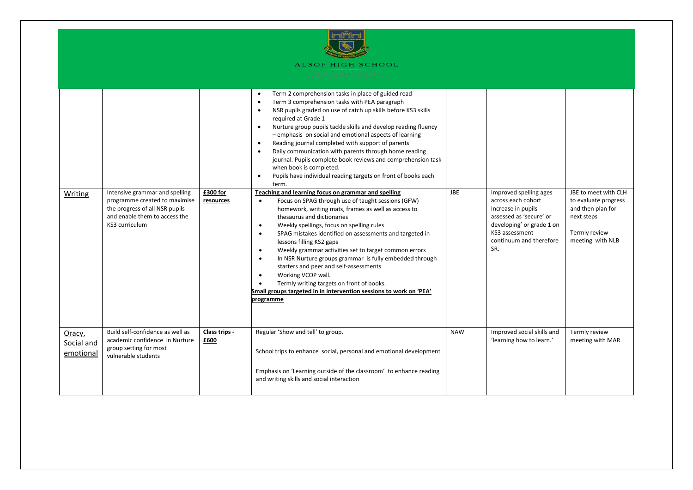

|                                   |                                                                                                                                                      |                       | Term 2 comprehension tasks in place of guided read<br>$\bullet$<br>Term 3 comprehension tasks with PEA paragraph<br>$\bullet$<br>NSR pupils graded on use of catch up skills before KS3 skills<br>$\bullet$<br>required at Grade 1<br>Nurture group pupils tackle skills and develop reading fluency<br>$\bullet$<br>- emphasis on social and emotional aspects of learning<br>Reading journal completed with support of parents<br>$\bullet$<br>Daily communication with parents through home reading<br>$\bullet$<br>journal. Pupils complete book reviews and comprehension task<br>when book is completed.<br>Pupils have individual reading targets on front of books each<br>$\bullet$<br>term.                                             |            |                                                                                                                                                                                |                                                                                                                      |
|-----------------------------------|------------------------------------------------------------------------------------------------------------------------------------------------------|-----------------------|---------------------------------------------------------------------------------------------------------------------------------------------------------------------------------------------------------------------------------------------------------------------------------------------------------------------------------------------------------------------------------------------------------------------------------------------------------------------------------------------------------------------------------------------------------------------------------------------------------------------------------------------------------------------------------------------------------------------------------------------------|------------|--------------------------------------------------------------------------------------------------------------------------------------------------------------------------------|----------------------------------------------------------------------------------------------------------------------|
| Writing                           | Intensive grammar and spelling<br>programme created to maximise<br>the progress of all NSR pupils<br>and enable them to access the<br>KS3 curriculum | £300 for<br>resources | Teaching and learning focus on grammar and spelling<br>Focus on SPAG through use of taught sessions (GFW)<br>$\bullet$<br>homework, writing mats, frames as well as access to<br>thesaurus and dictionaries<br>Weekly spellings, focus on spelling rules<br>$\bullet$<br>SPAG mistakes identified on assessments and targeted in<br>$\bullet$<br>lessons filling KS2 gaps<br>Weekly grammar activities set to target common errors<br>$\bullet$<br>In NSR Nurture groups grammar is fully embedded through<br>$\bullet$<br>starters and peer and self-assessments<br>Working VCOP wall.<br>$\bullet$<br>Termly writing targets on front of books.<br>$\bullet$<br>Small groups targeted in in intervention sessions to work on 'PEA'<br>programme | <b>JBE</b> | Improved spelling ages<br>across each cohort<br>Increase in pupils<br>assessed as 'secure' or<br>developing' or grade 1 on<br>KS3 assessment<br>continuum and therefore<br>SR. | JBE to meet with CLH<br>to evaluate progress<br>and then plan for<br>next steps<br>Termly review<br>meeting with NLB |
| Oracy,<br>Social and<br>emotional | Build self-confidence as well as<br>academic confidence in Nurture<br>group setting for most<br>vulnerable students                                  | Class trips -<br>£600 | Regular 'Show and tell' to group.<br>School trips to enhance social, personal and emotional development<br>Emphasis on 'Learning outside of the classroom' to enhance reading<br>and writing skills and social interaction                                                                                                                                                                                                                                                                                                                                                                                                                                                                                                                        | <b>NAW</b> | Improved social skills and<br>'learning how to learn.'                                                                                                                         | Termly review<br>meeting with MAR                                                                                    |